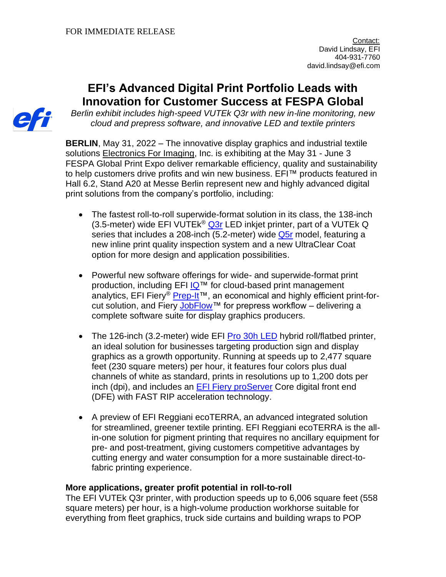# **EFI's Advanced Digital Print Portfolio Leads with Innovation for Customer Success at FESPA Global**



*Berlin exhibit includes high-speed VUTEk Q3r with new in-line monitoring, new cloud and prepress software, and innovative LED and textile printers*

**BERLIN**, May 31, 2022 – The innovative display graphics and industrial textile solutions [Electronics For Imaging,](http://www.efi.com/) Inc. is exhibiting at the May 31 - June 3 FESPA Global Print Expo deliver remarkable efficiency, quality and sustainability to help customers drive profits and win new business. EFI™ products featured in Hall 6.2, Stand A20 at Messe Berlin represent new and highly advanced digital print solutions from the company's portfolio, including:

- The fastest roll-to-roll superwide-format solution in its class, the 138-inch (3.5-meter) wide EFI VUTE $k^{\odot}$  [Q3r](https://www.efi.com/products/inkjet-printing-and-proofing/efi-superwide-roll-to-roll-printers/efi-vutek-q3r/overview/?utm_source=press_release&utm_medium=email&utm_campaign=fespa_2022) LED inkjet printer, part of a VUTEk Q series that includes a 208-inch (5.2-meter) wide [Q5r](https://www.efi.com/products/inkjet-printing-and-proofing/efi-superwide-roll-to-roll-printers/efi-vutek-q5r/overview/?utm_source=press_release&utm_medium=email&utm_campaign=fespa_2022) model, featuring a new inline print quality inspection system and a new UltraClear Coat option for more design and application possibilities.
- Powerful new software offerings for wide- and superwide-format print production, including EFI [IQ™](https://www.efi.com/products/efi-iq/?utm_source=press_release&utm_medium=email&utm_campaign=fespa_2022) for cloud-based print management analytics, EFI Fiery<sup>®</sup> [Prep-It™](https://www.efi.com/products/inkjet-printing-and-proofing/fiery-for-inkjet/fiery-prep-it/overview/?utm_source=press_release&utm_medium=email&utm_campaign=fespa_2022), an economical and highly efficient print-for-cut solution, and Fiery [JobFlow™](https://www.efi.com/products/fiery-servers-and-software/fiery-workflow-suite/fiery-jobflow/overview/?utm_source=press_release&utm_medium=email&utm_campaign=fespa_2022) for prepress workflow – delivering a complete software suite for display graphics producers.
- The 126-inch (3.2-meter) wide EFI [Pro 30h LED](https://www.efi.com/products/inkjet-printing-and-proofing/efi-wide-format-printers/efi-pro-30h/overview/?utm_source=press_release&utm_medium=email&utm_campaign=fespa_2022) hybrid roll/flatbed printer, an ideal solution for businesses targeting production sign and display graphics as a growth opportunity. Running at speeds up to 2,477 square feet (230 square meters) per hour, it features four colors plus dual channels of white as standard, prints in resolutions up to 1,200 dots per inch (dpi), and includes an [EFI Fiery proServer](https://www.efi.com/products/inkjet-printing-and-proofing/fiery-for-inkjet/fiery-proserver-for-vutek/overview/?utm_source=press_release&utm_medium=email&utm_campaign=fespa_2022) Core digital front end (DFE) with FAST RIP acceleration technology.
- A preview of EFI Reggiani ecoTERRA, an advanced integrated solution for streamlined, greener textile printing. EFI Reggiani ecoTERRA is the allin-one solution for pigment printing that requires no ancillary equipment for pre- and post-treatment, giving customers competitive advantages by cutting energy and water consumption for a more sustainable direct-tofabric printing experience.

## **More applications, greater profit potential in roll-to-roll**

The EFI VUTEk Q3r printer, with production speeds up to 6,006 square feet (558 square meters) per hour, is a high-volume production workhorse suitable for everything from fleet graphics, truck side curtains and building wraps to POP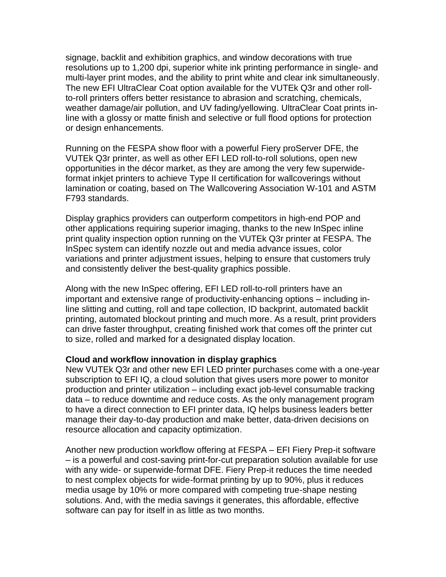signage, backlit and exhibition graphics, and window decorations with true resolutions up to 1,200 dpi, superior white ink printing performance in single- and multi-layer print modes, and the ability to print white and clear ink simultaneously. The new EFI UltraClear Coat option available for the VUTEk Q3r and other rollto-roll printers offers better resistance to abrasion and scratching, chemicals, weather damage/air pollution, and UV fading/yellowing. UltraClear Coat prints inline with a glossy or matte finish and selective or full flood options for protection or design enhancements.

Running on the FESPA show floor with a powerful Fiery proServer DFE, the VUTEk Q3r printer, as well as other EFI LED roll-to-roll solutions, open new opportunities in the décor market, as they are among the very few superwideformat inkjet printers to achieve Type II certification for wallcoverings without lamination or coating, based on The Wallcovering Association W-101 and ASTM F793 standards.

Display graphics providers can outperform competitors in high-end POP and other applications requiring superior imaging, thanks to the new InSpec inline print quality inspection option running on the VUTEk Q3r printer at FESPA. The InSpec system can identify nozzle out and media advance issues, color variations and printer adjustment issues, helping to ensure that customers truly and consistently deliver the best-quality graphics possible.

Along with the new InSpec offering, EFI LED roll-to-roll printers have an important and extensive range of productivity-enhancing options – including inline slitting and cutting, roll and tape collection, ID backprint, automated backlit printing, automated blockout printing and much more. As a result, print providers can drive faster throughput, creating finished work that comes off the printer cut to size, rolled and marked for a designated display location.

#### **Cloud and workflow innovation in display graphics**

New VUTEk Q3r and other new EFI LED printer purchases come with a one-year subscription to EFI IQ, a cloud solution that gives users more power to monitor production and printer utilization – including exact job-level consumable tracking data – to reduce downtime and reduce costs. As the only management program to have a direct connection to EFI printer data, IQ helps business leaders better manage their day-to-day production and make better, data-driven decisions on resource allocation and capacity optimization.

Another new production workflow offering at FESPA – EFI Fiery Prep-it software – is a powerful and cost-saving print-for-cut preparation solution available for use with any wide- or superwide-format DFE. Fiery Prep-it reduces the time needed to nest complex objects for wide-format printing by up to 90%, plus it reduces media usage by 10% or more compared with competing true-shape nesting solutions. And, with the media savings it generates, this affordable, effective software can pay for itself in as little as two months.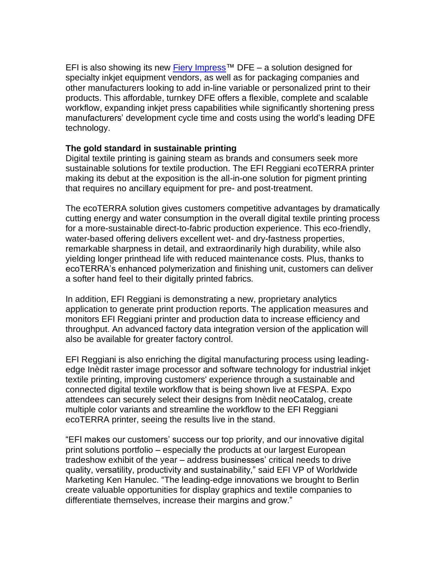EFI is also showing its new Fiery Impress<sup>™</sup> DFE – a solution designed for specialty inkjet equipment vendors, as well as for packaging companies and other manufacturers looking to add in-line variable or personalized print to their products. This affordable, turnkey DFE offers a flexible, complete and scalable workflow, expanding inkjet press capabilities while significantly shortening press manufacturers' development cycle time and costs using the world's leading DFE technology.

## **The gold standard in sustainable printing**

Digital textile printing is gaining steam as brands and consumers seek more sustainable solutions for textile production. The EFI Reggiani ecoTERRA printer making its debut at the exposition is the all-in-one solution for pigment printing that requires no ancillary equipment for pre- and post-treatment.

The ecoTERRA solution gives customers competitive advantages by dramatically cutting energy and water consumption in the overall digital textile printing process for a more-sustainable direct-to-fabric production experience. This eco-friendly, water-based offering delivers excellent wet- and dry-fastness properties, remarkable sharpness in detail, and extraordinarily high durability, while also yielding longer printhead life with reduced maintenance costs. Plus, thanks to ecoTERRA's enhanced polymerization and finishing unit, customers can deliver a softer hand feel to their digitally printed fabrics.

In addition, EFI Reggiani is demonstrating a new, proprietary analytics application to generate print production reports. The application measures and monitors EFI Reggiani printer and production data to increase efficiency and throughput. An advanced factory data integration version of the application will also be available for greater factory control.

EFI Reggiani is also enriching the digital manufacturing process using leadingedge Inèdit raster image processor and software technology for industrial inkjet textile printing, improving customers' experience through a sustainable and connected digital textile workflow that is being shown live at FESPA. Expo attendees can securely select their designs from Inèdit neoCatalog, create multiple color variants and streamline the workflow to the EFI Reggiani ecoTERRA printer, seeing the results live in the stand.

"EFI makes our customers' success our top priority, and our innovative digital print solutions portfolio – especially the products at our largest European tradeshow exhibit of the year – address businesses' critical needs to drive quality, versatility, productivity and sustainability," said EFI VP of Worldwide Marketing Ken Hanulec. "The leading-edge innovations we brought to Berlin create valuable opportunities for display graphics and textile companies to differentiate themselves, increase their margins and grow."